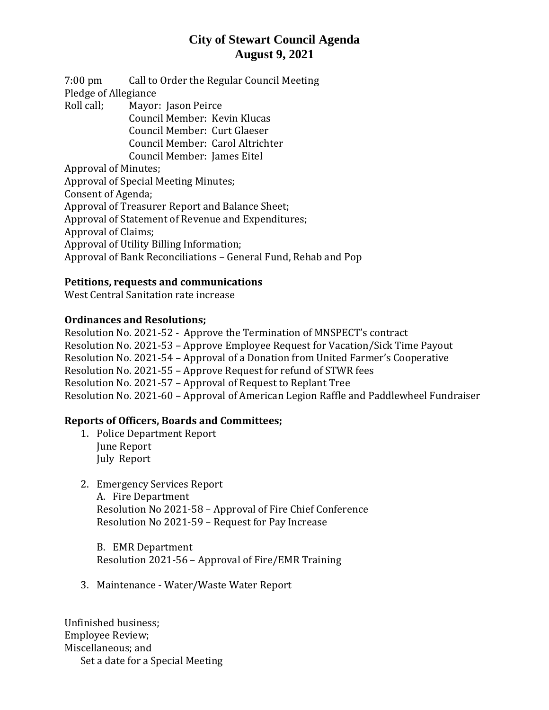# **City of Stewart Council Agenda August 9, 2021**

7:00 pm Call to Order the Regular Council Meeting Pledge of Allegiance Roll call; Mayor: Jason Peirce

Council Member: Kevin Klucas Council Member: Curt Glaeser Council Member: Carol Altrichter Council Member: James Eitel

Approval of Minutes;

Approval of Special Meeting Minutes; Consent of Agenda; Approval of Treasurer Report and Balance Sheet; Approval of Statement of Revenue and Expenditures; Approval of Claims; Approval of Utility Billing Information; Approval of Bank Reconciliations – General Fund, Rehab and Pop

### **Petitions, requests and communications**

West Central Sanitation rate increase

### **Ordinances and Resolutions;**

Resolution No. 2021-52 - Approve the Termination of MNSPECT's contract Resolution No. 2021-53 – Approve Employee Request for Vacation/Sick Time Payout Resolution No. 2021-54 – Approval of a Donation from United Farmer's Cooperative Resolution No. 2021-55 – Approve Request for refund of STWR fees Resolution No. 2021-57 – Approval of Request to Replant Tree Resolution No. 2021-60 – Approval of American Legion Raffle and Paddlewheel Fundraiser

## **Reports of Officers, Boards and Committees;**

- 1. Police Department Report June Report July Report
- 2. Emergency Services Report A. Fire Department Resolution No 2021-58 – Approval of Fire Chief Conference Resolution No 2021-59 – Request for Pay Increase

B. EMR Department Resolution 2021-56 – Approval of Fire/EMR Training

3. Maintenance - Water/Waste Water Report

Unfinished business; Employee Review; Miscellaneous; and Set a date for a Special Meeting